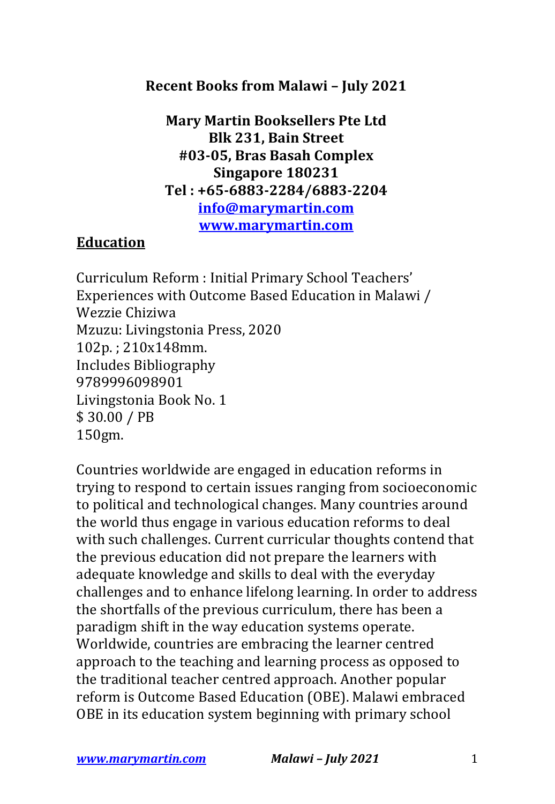## **Recent Books from Malawi - July 2021**

**Mary Martin Booksellers Pte Ltd Blk 231, Bain Street #03-05, Bras Basah Complex Singapore 180231 Tel : +65-6883-2284/6883-2204 info@marymartin.com www.marymartin.com**

## **Education**

Curriculum Reform : Initial Primary School Teachers' Experiences with Outcome Based Education in Malawi / Wezzie Chiziwa Mzuzu: Livingstonia Press, 2020 102p. ; 210x148mm. Includes Bibliography 9789996098901 Livingstonia Book No. 1 \$ 30.00 / PB 150gm.

Countries worldwide are engaged in education reforms in trying to respond to certain issues ranging from socioeconomic to political and technological changes. Many countries around the world thus engage in various education reforms to deal with such challenges. Current curricular thoughts contend that the previous education did not prepare the learners with adequate knowledge and skills to deal with the everyday challenges and to enhance lifelong learning. In order to address the shortfalls of the previous curriculum, there has been a paradigm shift in the way education systems operate. Worldwide, countries are embracing the learner centred approach to the teaching and learning process as opposed to the traditional teacher centred approach. Another popular reform is Outcome Based Education (OBE). Malawi embraced OBE in its education system beginning with primary school